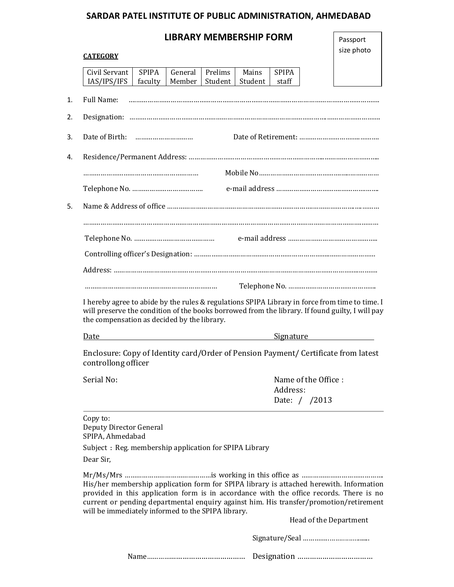## **SARDAR PATEL INSTITUTE OF PUBLIC ADMINISTRATION, AHMEDABAD**

## **LIBRARY MEMBERSHIP FORM**

| Passport   |
|------------|
| size photo |

| <b>CATEGORY</b>                                                                                                                                                                                                                                                                                                                                                                                                                                                  | size photo |
|------------------------------------------------------------------------------------------------------------------------------------------------------------------------------------------------------------------------------------------------------------------------------------------------------------------------------------------------------------------------------------------------------------------------------------------------------------------|------------|
| Civil Servant<br><b>SPIPA</b><br>Prelims<br>General<br>Mains<br><b>SPIPA</b><br>IAS/IPS/IFS<br>faculty<br>Member<br>Student<br>Student<br>staff                                                                                                                                                                                                                                                                                                                  |            |
| Full Name:                                                                                                                                                                                                                                                                                                                                                                                                                                                       |            |
|                                                                                                                                                                                                                                                                                                                                                                                                                                                                  |            |
|                                                                                                                                                                                                                                                                                                                                                                                                                                                                  |            |
|                                                                                                                                                                                                                                                                                                                                                                                                                                                                  |            |
|                                                                                                                                                                                                                                                                                                                                                                                                                                                                  |            |
|                                                                                                                                                                                                                                                                                                                                                                                                                                                                  |            |
|                                                                                                                                                                                                                                                                                                                                                                                                                                                                  |            |
|                                                                                                                                                                                                                                                                                                                                                                                                                                                                  |            |
|                                                                                                                                                                                                                                                                                                                                                                                                                                                                  |            |
|                                                                                                                                                                                                                                                                                                                                                                                                                                                                  |            |
|                                                                                                                                                                                                                                                                                                                                                                                                                                                                  |            |
| I hereby agree to abide by the rules & regulations SPIPA Library in force from time to time. I<br>will preserve the condition of the books borrowed from the library. If found guilty, I will pay<br>the compensation as decided by the library.                                                                                                                                                                                                                 |            |
| Signature Signature Signature Signature Signature Signature Signature Signature Signature Signature Signature Signature Signature Signature Signature Signature Signature Signature Signature Signature Signature Signature Si<br>Date and the second state of the second state and state and state and state and state and state and state and state and state and state and state and state and state and state and state and state and state and state and st |            |
| Enclosure: Copy of Identity card/Order of Pension Payment/ Certificate from latest<br>controllong officer                                                                                                                                                                                                                                                                                                                                                        |            |
| Name of the Office :<br>Serial No:                                                                                                                                                                                                                                                                                                                                                                                                                               |            |
| Address:<br>Date: / /2013                                                                                                                                                                                                                                                                                                                                                                                                                                        |            |
| Copy to:<br>Deputy Director General<br>SPIPA, Ahmedabad<br>Subject: Reg. membership application for SPIPA Library<br>Dear Sir,                                                                                                                                                                                                                                                                                                                                   |            |
| His/her membership application form for SPIPA library is attached herewith. Information<br>provided in this application form is in accordance with the office records. There is no<br>current or pending departmental enquiry against him. His transfer/promotion/retirement<br>will be immediately informed to the SPIPA library.<br>Head of the Department                                                                                                     |            |
|                                                                                                                                                                                                                                                                                                                                                                                                                                                                  |            |
|                                                                                                                                                                                                                                                                                                                                                                                                                                                                  |            |